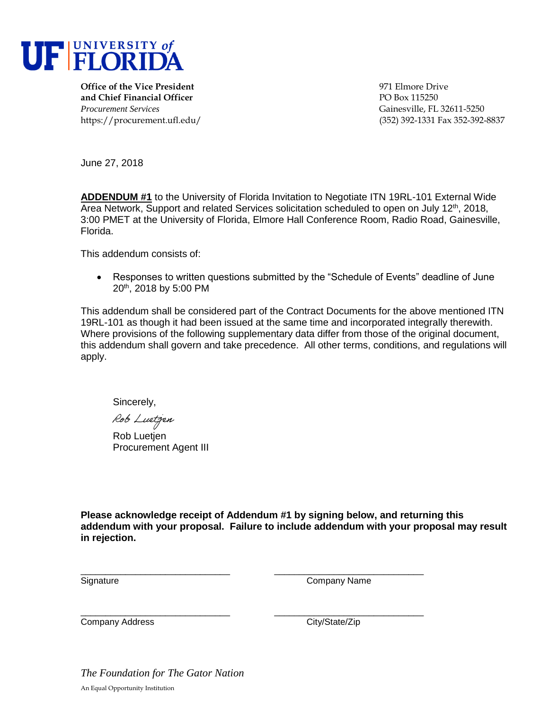

**Office of the Vice President** 971 Elmore Drive **and Chief Financial Officer** PO Box 115250 *Procurement Services* Gainesville, FL 32611-5250

https://procurement.ufl.edu/ (352) 392-1331 Fax 352-392-8837

June 27, 2018

**ADDENDUM #1** to the University of Florida Invitation to Negotiate ITN 19RL-101 External Wide Area Network, Support and related Services solicitation scheduled to open on July 12<sup>th</sup>, 2018, 3:00 PMET at the University of Florida, Elmore Hall Conference Room, Radio Road, Gainesville, Florida.

This addendum consists of:

 Responses to written questions submitted by the "Schedule of Events" deadline of June 20th, 2018 by 5:00 PM

This addendum shall be considered part of the Contract Documents for the above mentioned ITN 19RL-101 as though it had been issued at the same time and incorporated integrally therewith. Where provisions of the following supplementary data differ from those of the original document, this addendum shall govern and take precedence. All other terms, conditions, and regulations will apply.

Sincerely,

Rob Luetjen

Rob Luetien Procurement Agent III

**Please acknowledge receipt of Addendum #1 by signing below, and returning this addendum with your proposal. Failure to include addendum with your proposal may result in rejection.**

\_\_\_\_\_\_\_\_\_\_\_\_\_\_\_\_\_\_\_\_\_\_\_\_\_\_\_\_\_\_ \_\_\_\_\_\_\_\_\_\_\_\_\_\_\_\_\_\_\_\_\_\_\_\_\_\_\_\_\_\_

\_\_\_\_\_\_\_\_\_\_\_\_\_\_\_\_\_\_\_\_\_\_\_\_\_\_\_\_\_\_ \_\_\_\_\_\_\_\_\_\_\_\_\_\_\_\_\_\_\_\_\_\_\_\_\_\_\_\_\_\_ Signature Company Name

Company Address Company Address City/State/Zip

*The Foundation for The Gator Nation*  An Equal Opportunity Institution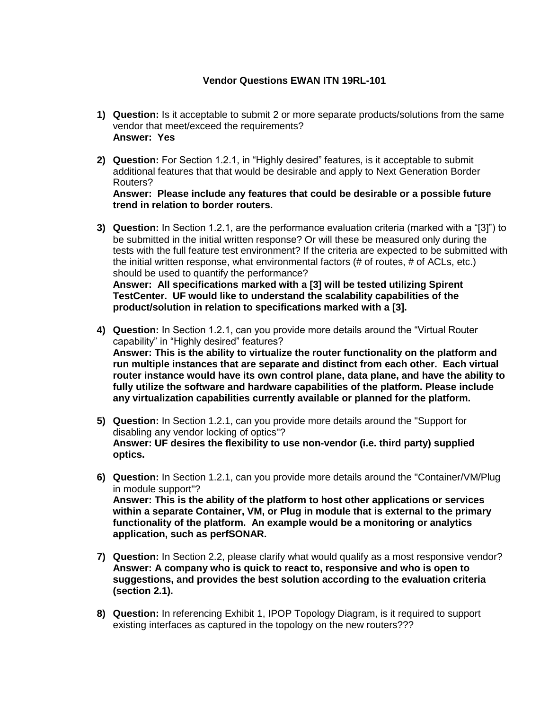## **Vendor Questions EWAN ITN 19RL-101**

- **1) Question:** Is it acceptable to submit 2 or more separate products/solutions from the same vendor that meet/exceed the requirements? **Answer: Yes**
- **2) Question:** For Section 1.2.1, in "Highly desired" features, is it acceptable to submit additional features that that would be desirable and apply to Next Generation Border Routers?

**Answer: Please include any features that could be desirable or a possible future trend in relation to border routers.**

- **3) Question:** In Section 1.2.1, are the performance evaluation criteria (marked with a "[3]") to be submitted in the initial written response? Or will these be measured only during the tests with the full feature test environment? If the criteria are expected to be submitted with the initial written response, what environmental factors (# of routes, # of ACLs, etc.) should be used to quantify the performance? **Answer: All specifications marked with a [3] will be tested utilizing Spirent TestCenter. UF would like to understand the scalability capabilities of the product/solution in relation to specifications marked with a [3].**
- **4) Question:** In Section 1.2.1, can you provide more details around the "Virtual Router capability" in "Highly desired" features? **Answer: This is the ability to virtualize the router functionality on the platform and run multiple instances that are separate and distinct from each other. Each virtual router instance would have its own control plane, data plane, and have the ability to fully utilize the software and hardware capabilities of the platform. Please include any virtualization capabilities currently available or planned for the platform.**
- **5) Question:** In Section 1.2.1, can you provide more details around the "Support for disabling any vendor locking of optics"? **Answer: UF desires the flexibility to use non-vendor (i.e. third party) supplied optics.**
- **6) Question:** In Section 1.2.1, can you provide more details around the "Container/VM/Plug in module support"? **Answer: This is the ability of the platform to host other applications or services within a separate Container, VM, or Plug in module that is external to the primary functionality of the platform. An example would be a monitoring or analytics application, such as perfSONAR.**
- **7) Question:** In Section 2.2, please clarify what would qualify as a most responsive vendor? **Answer: A company who is quick to react to, responsive and who is open to suggestions, and provides the best solution according to the evaluation criteria (section 2.1).**
- **8) Question:** In referencing Exhibit 1, IPOP Topology Diagram, is it required to support existing interfaces as captured in the topology on the new routers???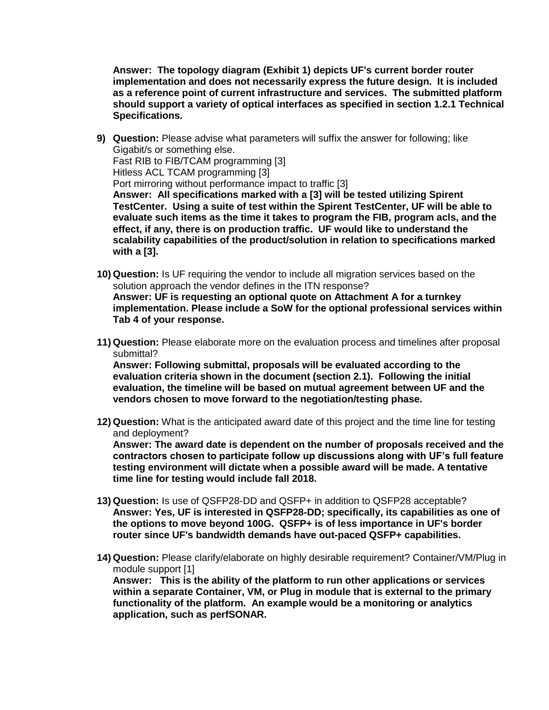**Answer: The topology diagram (Exhibit 1) depicts UF's current border router implementation and does not necessarily express the future design. It is included as a reference point of current infrastructure and services. The submitted platform should support a variety of optical interfaces as specified in section 1.2.1 Technical Specifications.**

- **9) Question:** Please advise what parameters will suffix the answer for following; like Gigabit/s or something else. Fast RIB to FIB/TCAM programming [3] Hitless ACL TCAM programming [3] Port mirroring without performance impact to traffic [3] **Answer: All specifications marked with a [3] will be tested utilizing Spirent TestCenter. Using a suite of test within the Spirent TestCenter, UF will be able to evaluate such items as the time it takes to program the FIB, program acls, and the effect, if any, there is on production traffic. UF would like to understand the scalability capabilities of the product/solution in relation to specifications marked with a [3].**
- **10) Question:** Is UF requiring the vendor to include all migration services based on the solution approach the vendor defines in the ITN response? **Answer: UF is requesting an optional quote on Attachment A for a turnkey implementation. Please include a SoW for the optional professional services within Tab 4 of your response.**
- **11) Question:** Please elaborate more on the evaluation process and timelines after proposal submittal?

**Answer: Following submittal, proposals will be evaluated according to the evaluation criteria shown in the document (section 2.1). Following the initial evaluation, the timeline will be based on mutual agreement between UF and the vendors chosen to move forward to the negotiation/testing phase.**

**12) Question:** What is the anticipated award date of this project and the time line for testing and deployment?

**Answer: The award date is dependent on the number of proposals received and the contractors chosen to participate follow up discussions along with UF's full feature testing environment will dictate when a possible award will be made. A tentative time line for testing would include fall 2018.** 

- **13) Question:** Is use of QSFP28-DD and QSFP+ in addition to QSFP28 acceptable? **Answer: Yes, UF is interested in QSFP28-DD; specifically, its capabilities as one of the options to move beyond 100G. QSFP+ is of less importance in UF's border router since UF's bandwidth demands have out-paced QSFP+ capabilities.**
- **14) Question:** Please clarify/elaborate on highly desirable requirement? Container/VM/Plug in module support [1] **Answer: This is the ability of the platform to run other applications or services within a separate Container, VM, or Plug in module that is external to the primary functionality of the platform. An example would be a monitoring or analytics application, such as perfSONAR.**